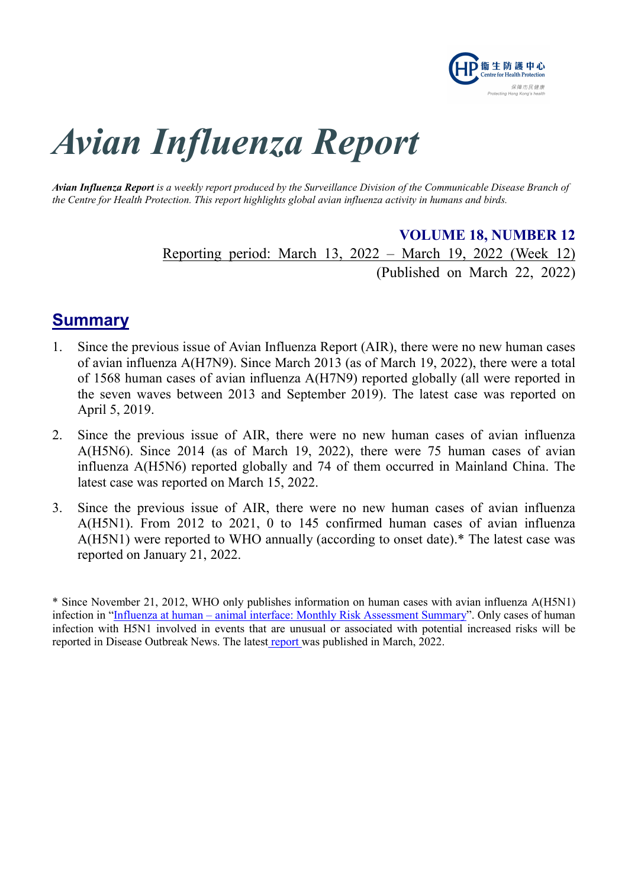

# Avian Influenza Report

Avian Influenza Report is a weekly report produced by the Surveillance Division of the Communicable Disease Branch of the Centre for Health Protection. This report highlights global avian influenza activity in humans and birds.

> VOLUME 18, NUMBER 12 Reporting period: March 13, 2022 – March 19, 2022 (Week 12)

(Published on March 22, 2022)

## **Summary**

- 1. Since the previous issue of Avian Influenza Report (AIR), there were no new human cases of avian influenza A(H7N9). Since March 2013 (as of March 19, 2022), there were a total of 1568 human cases of avian influenza A(H7N9) reported globally (all were reported in the seven waves between 2013 and September 2019). The latest case was reported on April 5, 2019.
- 2. Since the previous issue of AIR, there were no new human cases of avian influenza A(H5N6). Since 2014 (as of March 19, 2022), there were 75 human cases of avian influenza A(H5N6) reported globally and 74 of them occurred in Mainland China. The latest case was reported on March 15, 2022.
- 3. Since the previous issue of AIR, there were no new human cases of avian influenza A(H5N1). From 2012 to 2021, 0 to 145 confirmed human cases of avian influenza A(H5N1) were reported to WHO annually (according to onset date).\* The latest case was reported on January 21, 2022.

<sup>\*</sup> Since November 21, 2012, WHO only publishes information on human cases with avian influenza A(H5N1) infection in "Influenza at human – animal interface: Monthly Risk Assessment Summary". Only cases of human infection with H5N1 involved in events that are unusual or associated with potential increased risks will be reported in Disease Outbreak News. The latest report was published in March, 2022.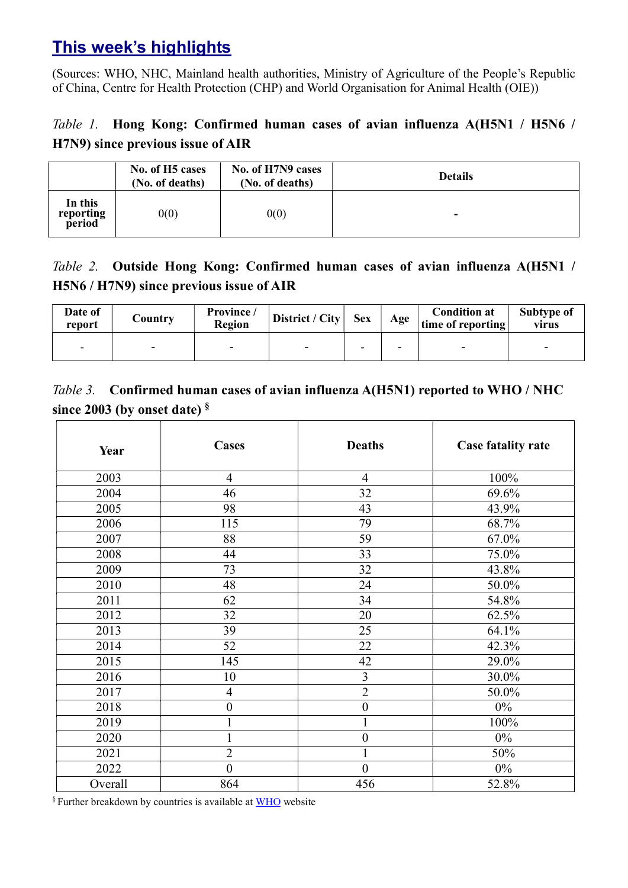# This week's highlights

(Sources: WHO, NHC, Mainland health authorities, Ministry of Agriculture of the People's Republic of China, Centre for Health Protection (CHP) and World Organisation for Animal Health (OIE))

## Table 1. Hong Kong: Confirmed human cases of avian influenza A(H5N1 / H5N6 / H7N9) since previous issue of AIR

|                                | No. of H <sub>5</sub> cases<br>(No. of deaths) | No. of H7N9 cases<br>(No. of deaths) | <b>Details</b> |
|--------------------------------|------------------------------------------------|--------------------------------------|----------------|
| In this<br>reporting<br>period | 0(0)                                           | 0(0)                                 | -              |

#### Table 2. Outside Hong Kong: Confirmed human cases of avian influenza A(H5N1 / H5N6 / H7N9) since previous issue of AIR

| Date of<br>report | Country | Province /<br>Region | District / City | <b>Sex</b> | Age | <b>Condition at</b><br>time of reporting | Subtype of<br>virus |
|-------------------|---------|----------------------|-----------------|------------|-----|------------------------------------------|---------------------|
| $\sim$            | -       |                      | -               | ۰.         | -   | $\overline{\phantom{0}}$                 |                     |

#### Table 3. Confirmed human cases of avian influenza A(H5N1) reported to WHO / NHC since 2003 (by onset date) §

| Year    | <b>Cases</b>     | <b>Deaths</b>    | <b>Case fatality rate</b> |
|---------|------------------|------------------|---------------------------|
| 2003    | $\overline{4}$   | $\overline{4}$   | 100%                      |
| 2004    | 46               | 32               | 69.6%                     |
| 2005    | 98               | 43               | 43.9%                     |
| 2006    | 115              | 79               | 68.7%                     |
| 2007    | 88               | 59               | 67.0%                     |
| 2008    | 44               | 33               | 75.0%                     |
| 2009    | 73               | 32               | 43.8%                     |
| 2010    | 48               | 24               | 50.0%                     |
| 2011    | 62               | 34               | 54.8%                     |
| 2012    | 32               | 20               | 62.5%                     |
| 2013    | 39               | 25               | 64.1%                     |
| 2014    | 52               | 22               | 42.3%                     |
| 2015    | 145              | 42               | 29.0%                     |
| 2016    | 10               | $\overline{3}$   | 30.0%                     |
| 2017    | $\overline{4}$   | $\overline{2}$   | 50.0%                     |
| 2018    | $\boldsymbol{0}$ | $\boldsymbol{0}$ | $0\%$                     |
| 2019    |                  | $\mathbf{1}$     | 100%                      |
| 2020    |                  | $\boldsymbol{0}$ | $0\%$                     |
| 2021    | $\overline{2}$   | $\mathbf{1}$     | 50%                       |
| 2022    | $\boldsymbol{0}$ | $\boldsymbol{0}$ | $0\%$                     |
| Overall | 864              | 456              | 52.8%                     |

§ Further breakdown by countries is available at WHO website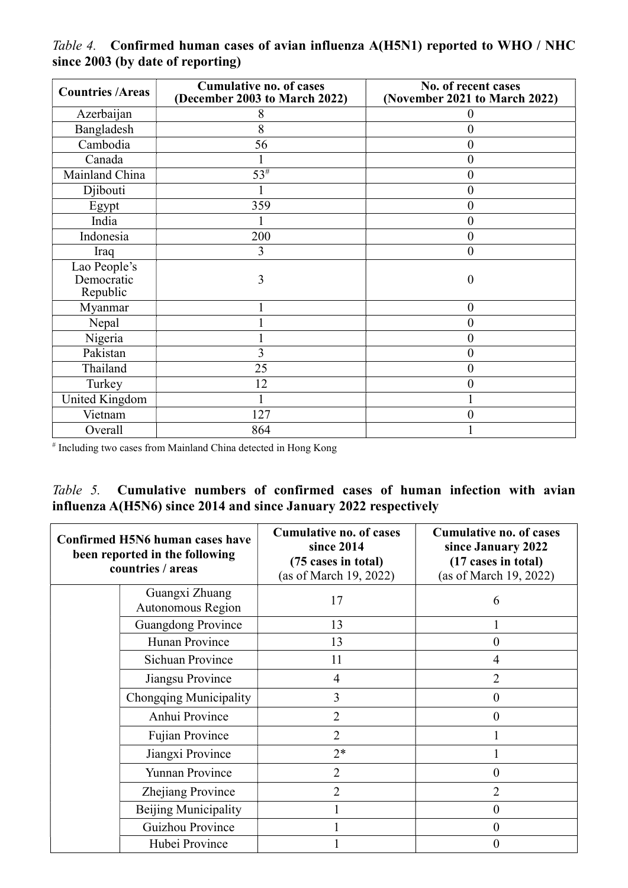| <b>Countries /Areas</b>                | <b>Cumulative no. of cases</b><br>(December 2003 to March 2022) | No. of recent cases<br>(November 2021 to March 2022) |
|----------------------------------------|-----------------------------------------------------------------|------------------------------------------------------|
| Azerbaijan                             | 8                                                               |                                                      |
| Bangladesh                             | 8                                                               | 0                                                    |
| Cambodia                               | 56                                                              | 0                                                    |
| Canada                                 |                                                                 | 0                                                    |
| Mainland China                         | $53^{\#}$                                                       | 0                                                    |
| Djibouti                               |                                                                 | 0                                                    |
| Egypt                                  | 359                                                             | $\theta$                                             |
| India                                  |                                                                 | $\boldsymbol{0}$                                     |
| Indonesia                              | 200                                                             | $\overline{0}$                                       |
| Iraq                                   | 3                                                               | $\theta$                                             |
| Lao People's<br>Democratic<br>Republic | 3                                                               | $\mathcal{O}$                                        |
| Myanmar                                |                                                                 | $\theta$                                             |
| Nepal                                  |                                                                 | 0                                                    |
| Nigeria                                |                                                                 | 0                                                    |
| Pakistan                               | 3                                                               | $\boldsymbol{0}$                                     |
| Thailand                               | 25                                                              | $\theta$                                             |
| Turkey                                 | 12                                                              | 0                                                    |
| <b>United Kingdom</b>                  |                                                                 |                                                      |
| Vietnam                                | 127                                                             | 0                                                    |
| Overall                                | 864                                                             |                                                      |

Table 4. Confirmed human cases of avian influenza A(H5N1) reported to WHO / NHC since 2003 (by date of reporting)

# Including two cases from Mainland China detected in Hong Kong

#### Table 5. Cumulative numbers of confirmed cases of human infection with avian influenza A(H5N6) since 2014 and since January 2022 respectively

| Confirmed H5N6 human cases have<br>been reported in the following<br>countries / areas |                                     | <b>Cumulative no. of cases</b><br>since 2014<br>(75 cases in total)<br>(as of March 19, 2022) | <b>Cumulative no. of cases</b><br>since January 2022<br>(17 cases in total)<br>(as of March 19, 2022) |
|----------------------------------------------------------------------------------------|-------------------------------------|-----------------------------------------------------------------------------------------------|-------------------------------------------------------------------------------------------------------|
|                                                                                        | Guangxi Zhuang<br>Autonomous Region | 17                                                                                            | 6                                                                                                     |
|                                                                                        | <b>Guangdong Province</b>           | 13                                                                                            |                                                                                                       |
|                                                                                        | Hunan Province                      | 13                                                                                            | 0                                                                                                     |
|                                                                                        | Sichuan Province                    | 11                                                                                            |                                                                                                       |
|                                                                                        | Jiangsu Province                    | $\overline{4}$                                                                                | 2                                                                                                     |
|                                                                                        | Chongqing Municipality              | 3                                                                                             | $\theta$                                                                                              |
|                                                                                        | Anhui Province                      | $\overline{2}$                                                                                | 0                                                                                                     |
|                                                                                        | Fujian Province                     | $\overline{2}$                                                                                |                                                                                                       |
|                                                                                        | Jiangxi Province                    | $2*$                                                                                          |                                                                                                       |
|                                                                                        | Yunnan Province                     | $\overline{2}$                                                                                | $\theta$                                                                                              |
|                                                                                        | Zhejiang Province                   | $\overline{2}$                                                                                | $\overline{2}$                                                                                        |
|                                                                                        | Beijing Municipality                |                                                                                               | 0                                                                                                     |
|                                                                                        | Guizhou Province                    |                                                                                               | 0                                                                                                     |
|                                                                                        | Hubei Province                      |                                                                                               |                                                                                                       |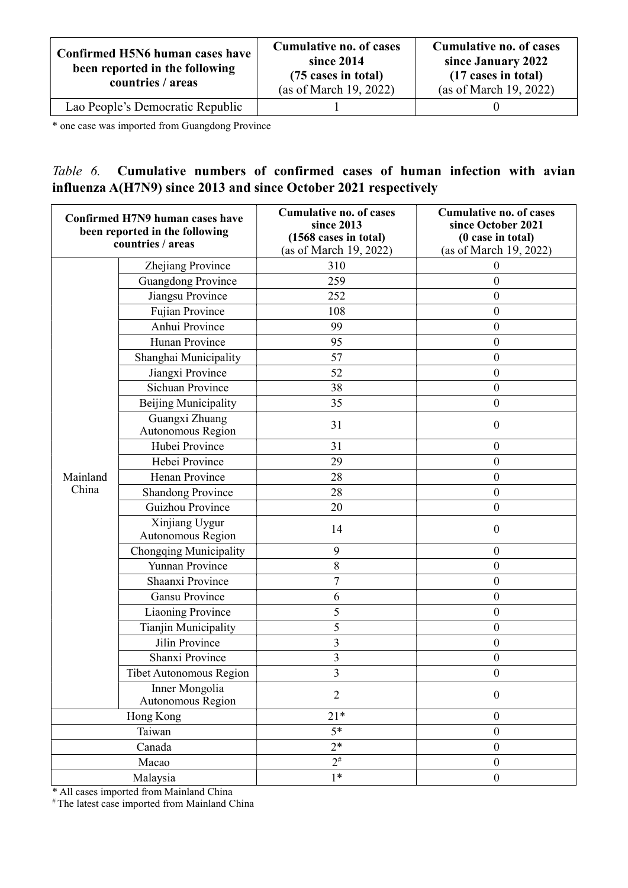| Confirmed H5N6 human cases have<br>been reported in the following<br>countries / areas | <b>Cumulative no. of cases</b><br>since 2014<br>(75 cases in total)<br>(as of March 19, 2022) | Cumulative no. of cases<br>since January 2022<br>(17 cases in total)<br>(as of March 19, 2022) |
|----------------------------------------------------------------------------------------|-----------------------------------------------------------------------------------------------|------------------------------------------------------------------------------------------------|
| Lao People's Democratic Republic                                                       |                                                                                               |                                                                                                |

\* one case was imported from Guangdong Province

## Table 6. Cumulative numbers of confirmed cases of human infection with avian influenza A(H7N9) since 2013 and since October 2021 respectively

| Confirmed H7N9 human cases have<br>been reported in the following<br>countries / areas |                                     | <b>Cumulative no. of cases</b><br>since 2013<br>(1568 cases in total)<br>(as of March 19, 2022) | <b>Cumulative no. of cases</b><br>since October 2021<br>(0 case in total)<br>(as of March 19, 2022) |
|----------------------------------------------------------------------------------------|-------------------------------------|-------------------------------------------------------------------------------------------------|-----------------------------------------------------------------------------------------------------|
|                                                                                        | Zhejiang Province                   | 310                                                                                             | $\boldsymbol{0}$                                                                                    |
|                                                                                        | <b>Guangdong Province</b>           | 259                                                                                             | $\boldsymbol{0}$                                                                                    |
|                                                                                        | Jiangsu Province                    | 252                                                                                             | $\boldsymbol{0}$                                                                                    |
|                                                                                        | Fujian Province                     | 108                                                                                             | $\theta$                                                                                            |
|                                                                                        | Anhui Province                      | 99                                                                                              | $\boldsymbol{0}$                                                                                    |
|                                                                                        | Hunan Province                      | 95                                                                                              | $\boldsymbol{0}$                                                                                    |
|                                                                                        | Shanghai Municipality               | 57                                                                                              | $\boldsymbol{0}$                                                                                    |
|                                                                                        | Jiangxi Province                    | 52                                                                                              | $\boldsymbol{0}$                                                                                    |
|                                                                                        | Sichuan Province                    | 38                                                                                              | $\boldsymbol{0}$                                                                                    |
|                                                                                        | Beijing Municipality                | 35                                                                                              | $\overline{0}$                                                                                      |
|                                                                                        | Guangxi Zhuang<br>Autonomous Region | 31                                                                                              | $\boldsymbol{0}$                                                                                    |
|                                                                                        | Hubei Province                      | 31                                                                                              | $\boldsymbol{0}$                                                                                    |
|                                                                                        | Hebei Province                      | 29                                                                                              | $\boldsymbol{0}$                                                                                    |
| Mainland                                                                               | Henan Province                      | 28                                                                                              | $\boldsymbol{0}$                                                                                    |
| China                                                                                  | <b>Shandong Province</b>            | 28                                                                                              | $\boldsymbol{0}$                                                                                    |
|                                                                                        | Guizhou Province                    | 20                                                                                              | $\boldsymbol{0}$                                                                                    |
|                                                                                        | Xinjiang Uygur<br>Autonomous Region | 14                                                                                              | $\boldsymbol{0}$                                                                                    |
|                                                                                        | Chongqing Municipality              | 9                                                                                               | $\boldsymbol{0}$                                                                                    |
|                                                                                        | Yunnan Province                     | 8                                                                                               | $\boldsymbol{0}$                                                                                    |
|                                                                                        | Shaanxi Province                    | $\overline{7}$                                                                                  | $\boldsymbol{0}$                                                                                    |
|                                                                                        | Gansu Province                      | 6                                                                                               | $\boldsymbol{0}$                                                                                    |
|                                                                                        | Liaoning Province                   | 5                                                                                               | $\boldsymbol{0}$                                                                                    |
|                                                                                        | Tianjin Municipality                | 5                                                                                               | $\boldsymbol{0}$                                                                                    |
|                                                                                        | Jilin Province                      | 3                                                                                               | $\boldsymbol{0}$                                                                                    |
|                                                                                        | Shanxi Province                     | $\mathfrak{Z}$                                                                                  | $\boldsymbol{0}$                                                                                    |
|                                                                                        | Tibet Autonomous Region             | 3                                                                                               | $\mathbf{0}$                                                                                        |
|                                                                                        | Inner Mongolia<br>Autonomous Region | $\overline{2}$                                                                                  | $\boldsymbol{0}$                                                                                    |
|                                                                                        | Hong Kong                           | $21*$                                                                                           | $\boldsymbol{0}$                                                                                    |
|                                                                                        | Taiwan                              | $5*$                                                                                            | $\boldsymbol{0}$                                                                                    |
|                                                                                        | Canada                              | $2*$                                                                                            | $\boldsymbol{0}$                                                                                    |
|                                                                                        | Macao                               | $2^{\#}$                                                                                        | $\boldsymbol{0}$                                                                                    |
| Malaysia                                                                               |                                     | $1*$                                                                                            | $\boldsymbol{0}$                                                                                    |

\* All cases imported from Mainland China

# The latest case imported from Mainland China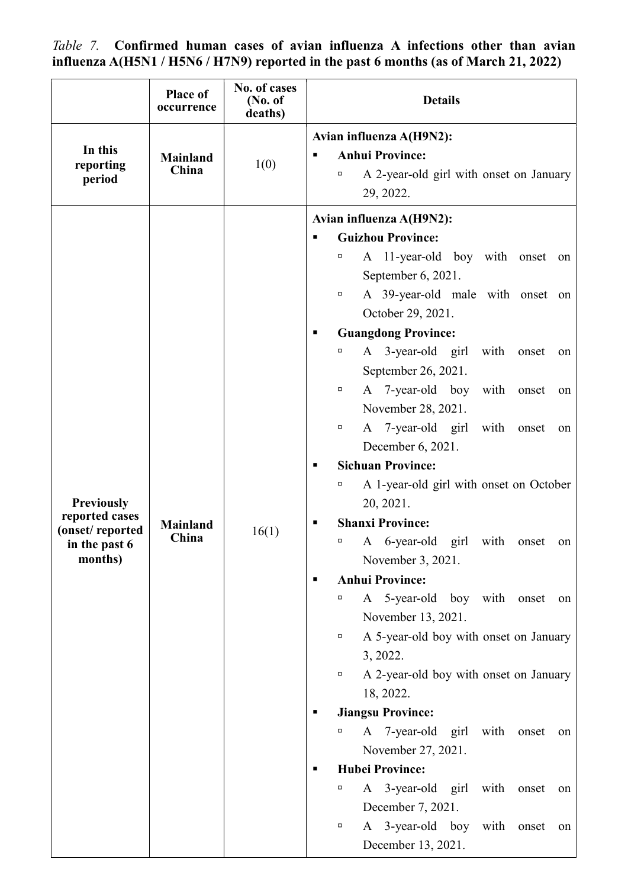Table 7. Confirmed human cases of avian influenza A infections other than avian influenza A(H5N1 / H5N6 / H7N9) reported in the past 6 months (as of March 21, 2022)

|                                  | Place of<br>occurrence   | No. of cases<br>(No. of<br>deaths) | <b>Details</b>                                                     |  |  |
|----------------------------------|--------------------------|------------------------------------|--------------------------------------------------------------------|--|--|
|                                  |                          |                                    | Avian influenza A(H9N2):                                           |  |  |
| In this<br>reporting             | <b>Mainland</b><br>China | 1(0)                               | <b>Anhui Province:</b><br>п                                        |  |  |
| period                           |                          |                                    | A 2-year-old girl with onset on January<br>$\Box$                  |  |  |
|                                  |                          |                                    | 29, 2022.                                                          |  |  |
|                                  |                          |                                    | Avian influenza A(H9N2):                                           |  |  |
|                                  |                          |                                    | <b>Guizhou Province:</b><br>٠                                      |  |  |
|                                  |                          |                                    | A 11-year-old boy with onset<br>о<br>on                            |  |  |
|                                  |                          |                                    | September 6, 2021.                                                 |  |  |
|                                  |                          |                                    | A 39-year-old male with onset on<br>α                              |  |  |
|                                  |                          |                                    | October 29, 2021.                                                  |  |  |
|                                  |                          |                                    | <b>Guangdong Province:</b><br>п<br>α                               |  |  |
|                                  |                          |                                    | A 3-year-old girl<br>with<br>onset<br>on                           |  |  |
|                                  |                          |                                    | September 26, 2021.<br>A 7-year-old boy<br>with<br>$\Box$<br>onset |  |  |
|                                  |                          |                                    | on<br>November 28, 2021.                                           |  |  |
|                                  |                          |                                    | A 7-year-old girl<br>with<br>п<br>onset<br>on                      |  |  |
|                                  |                          |                                    | December 6, 2021.                                                  |  |  |
|                                  |                          |                                    | <b>Sichuan Province:</b><br>п                                      |  |  |
|                                  |                          |                                    | A 1-year-old girl with onset on October<br>α                       |  |  |
| <b>Previously</b>                |                          |                                    | 20, 2021.                                                          |  |  |
| reported cases                   | <b>Mainland</b>          |                                    | <b>Shanxi Province:</b><br>п                                       |  |  |
| (onset/reported<br>in the past 6 | China                    | 16(1)                              | A 6-year-old girl with<br>о<br>onset<br>on                         |  |  |
| months)                          |                          |                                    | November 3, 2021.                                                  |  |  |
|                                  |                          |                                    | <b>Anhui Province:</b><br>п                                        |  |  |
|                                  |                          |                                    | A 5-year-old boy with onset<br>α<br>on                             |  |  |
|                                  |                          |                                    | November 13, 2021.                                                 |  |  |
|                                  |                          |                                    | A 5-year-old boy with onset on January<br>α                        |  |  |
|                                  |                          |                                    | 3, 2022.                                                           |  |  |
|                                  |                          |                                    | A 2-year-old boy with onset on January<br>α                        |  |  |
|                                  |                          |                                    | 18, 2022.                                                          |  |  |
|                                  |                          |                                    | <b>Jiangsu Province:</b><br>п                                      |  |  |
|                                  |                          |                                    | A 7-year-old girl with onset<br>α<br>on                            |  |  |
|                                  |                          |                                    | November 27, 2021.                                                 |  |  |
|                                  |                          |                                    | <b>Hubei Province:</b><br>п                                        |  |  |
|                                  |                          |                                    | A 3-year-old girl with<br>onset<br>α<br>on                         |  |  |
|                                  |                          |                                    | December 7, 2021.<br>α                                             |  |  |
|                                  |                          |                                    | A 3-year-old boy with<br>onset<br>on<br>December 13, 2021.         |  |  |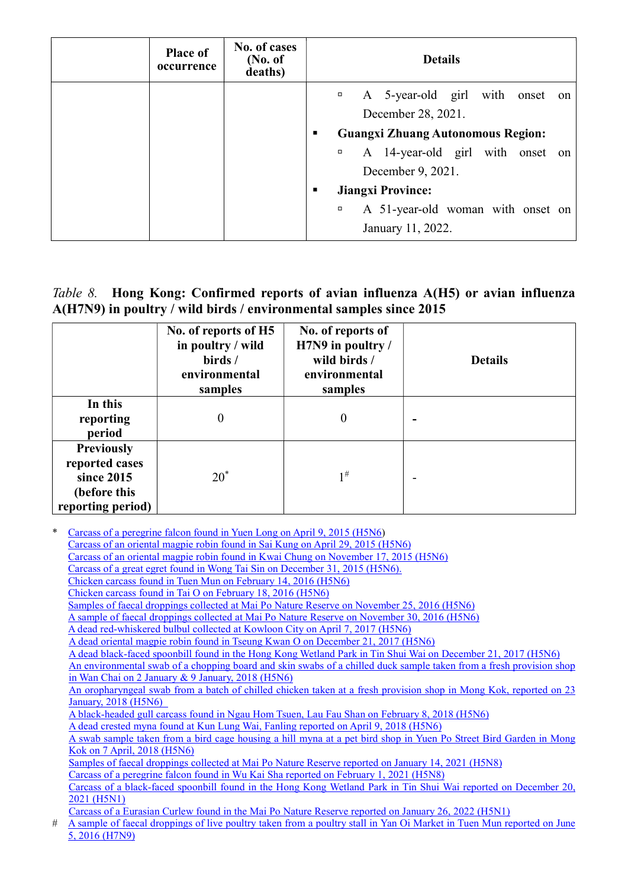| <b>Place of</b><br>occurrence | No. of cases<br>(No. of)<br>deaths) | <b>Details</b>                                |                                             |  |
|-------------------------------|-------------------------------------|-----------------------------------------------|---------------------------------------------|--|
|                               |                                     |                                               | A 5-year-old girl with onset on<br>$\Box$   |  |
|                               |                                     | December 28, 2021.                            |                                             |  |
|                               |                                     | <b>Guangxi Zhuang Autonomous Region:</b><br>п |                                             |  |
|                               |                                     |                                               | A 14-year-old girl with onset on<br>$\Box$  |  |
|                               |                                     |                                               | December 9, 2021.                           |  |
|                               |                                     | <b>Jiangxi Province:</b><br>٠                 |                                             |  |
|                               |                                     |                                               | A 51-year-old woman with onset on<br>$\Box$ |  |
|                               |                                     |                                               | January 11, 2022.                           |  |

#### Table 8. Hong Kong: Confirmed reports of avian influenza A(H5) or avian influenza A(H7N9) in poultry / wild birds / environmental samples since 2015

|                                                                                        | No. of reports of H5<br>in poultry / wild<br>birds /<br>environmental<br>samples | No. of reports of<br>H7N9 in poultry /<br>wild birds /<br>environmental<br>samples | <b>Details</b> |
|----------------------------------------------------------------------------------------|----------------------------------------------------------------------------------|------------------------------------------------------------------------------------|----------------|
| In this<br>reporting<br>period                                                         | 0                                                                                | $\boldsymbol{0}$                                                                   |                |
| <b>Previously</b><br>reported cases<br>since 2015<br>(before this<br>reporting period) | $20^*$                                                                           | $1^{\#}$                                                                           |                |

\* Carcass of a peregrine falcon found in Yuen Long on April 9, 2015 (H5N6) Carcass of an oriental magpie robin found in Sai Kung on April 29, 2015 (H5N6) Carcass of an oriental magpie robin found in Kwai Chung on November 17, 2015 (H5N6) Carcass of a great egret found in Wong Tai Sin on December 31, 2015 (H5N6). Chicken carcass found in Tuen Mun on February 14, 2016 (H5N6) Chicken carcass found in Tai O on February 18, 2016 (H5N6) Samples of faecal droppings collected at Mai Po Nature Reserve on November 25, 2016 (H5N6) A sample of faecal droppings collected at Mai Po Nature Reserve on November 30, 2016 (H5N6) A dead red-whiskered bulbul collected at Kowloon City on April 7, 2017 (H5N6) A dead oriental magpie robin found in Tseung Kwan O on December 21, 2017 (H5N6) A dead black-faced spoonbill found in the Hong Kong Wetland Park in Tin Shui Wai on December 21, 2017 (H5N6) An environmental swab of a chopping board and skin swabs of a chilled duck sample taken from a fresh provision shop in Wan Chai on 2 January & 9 January, 2018 (H5N6) An oropharyngeal swab from a batch of chilled chicken taken at a fresh provision shop in Mong Kok, reported on 23 January, 2018 (H5N6) A black-headed gull carcass found in Ngau Hom Tsuen, Lau Fau Shan on February 8, 2018 (H5N6) A dead crested myna found at Kun Lung Wai, Fanling reported on April 9, 2018 (H5N6) A swab sample taken from a bird cage housing a hill myna at a pet bird shop in Yuen Po Street Bird Garden in Mong Kok on 7 April, 2018 (H5N6) Samples of faecal droppings collected at Mai Po Nature Reserve reported on January 14, 2021 (H5N8) Carcass of a peregrine falcon found in Wu Kai Sha reported on February 1, 2021 (H5N8) Carcass of a black-faced spoonbill found in the Hong Kong Wetland Park in Tin Shui Wai reported on December 20, 2021 (H5N1) Carcass of a Eurasian Curlew found in the Mai Po Nature Reserve reported on January 26, 2022 (H5N1) # A sample of faecal droppings of live poultry taken from a poultry stall in Yan Oi Market in Tuen Mun reported on June 5, 2016 (H7N9)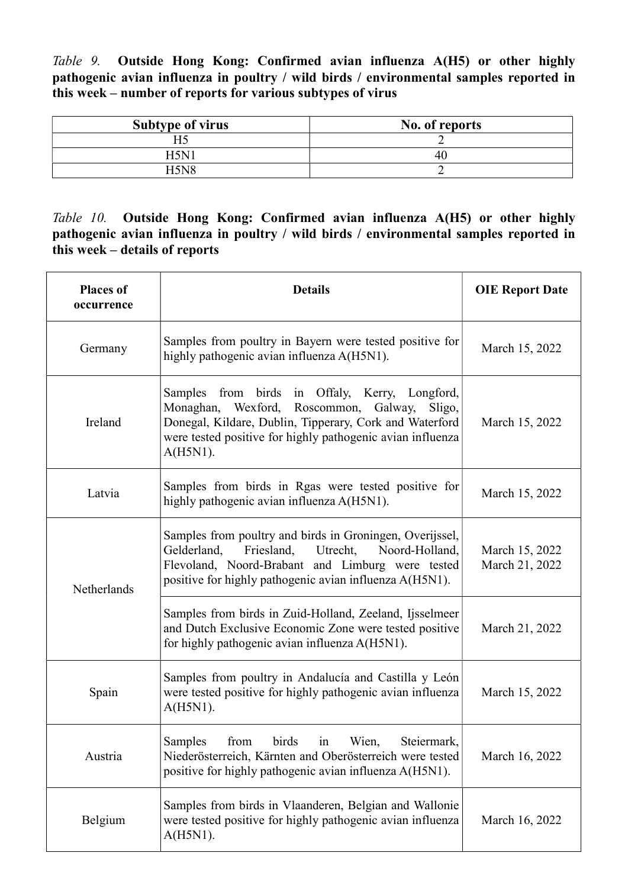Table 9. Outside Hong Kong: Confirmed avian influenza A(H5) or other highly pathogenic avian influenza in poultry / wild birds / environmental samples reported in this week – number of reports for various subtypes of virus

| <b>Subtype of virus</b> | No. of reports |
|-------------------------|----------------|
|                         |                |
| $H5N^{\dagger}$         | 40             |
| H5N <sub>8</sub>        |                |

Table 10. Outside Hong Kong: Confirmed avian influenza A(H5) or other highly pathogenic avian influenza in poultry / wild birds / environmental samples reported in this week – details of reports

| <b>Places of</b><br>occurrence | <b>Details</b>                                                                                                                                                                                                                               | <b>OIE Report Date</b>           |
|--------------------------------|----------------------------------------------------------------------------------------------------------------------------------------------------------------------------------------------------------------------------------------------|----------------------------------|
| Germany                        | Samples from poultry in Bayern were tested positive for<br>highly pathogenic avian influenza A(H5N1).                                                                                                                                        | March 15, 2022                   |
| Ireland                        | from birds in Offaly, Kerry, Longford,<br>Samples<br>Monaghan, Wexford, Roscommon, Galway,<br>Sligo,<br>Donegal, Kildare, Dublin, Tipperary, Cork and Waterford<br>were tested positive for highly pathogenic avian influenza<br>$A(H5N1)$ . | March 15, 2022                   |
| Latvia                         | Samples from birds in Rgas were tested positive for<br>highly pathogenic avian influenza A(H5N1).                                                                                                                                            | March 15, 2022                   |
| Netherlands                    | Samples from poultry and birds in Groningen, Overijssel,<br>Friesland,<br>Noord-Holland,<br>Gelderland,<br>Utrecht,<br>Flevoland, Noord-Brabant and Limburg were tested<br>positive for highly pathogenic avian influenza A(H5N1).           | March 15, 2022<br>March 21, 2022 |
|                                | Samples from birds in Zuid-Holland, Zeeland, Ijsselmeer<br>and Dutch Exclusive Economic Zone were tested positive<br>for highly pathogenic avian influenza A(H5N1).                                                                          | March 21, 2022                   |
| Spain                          | Samples from poultry in Andalucía and Castilla y León<br>were tested positive for highly pathogenic avian influenza<br>$A(H5N1)$ .                                                                                                           | March 15, 2022                   |
| Austria                        | Wien.<br>Samples<br>from<br>birds in<br>Steiermark,<br>Niederösterreich, Kärnten and Oberösterreich were tested<br>positive for highly pathogenic avian influenza A(H5N1).                                                                   | March 16, 2022                   |
| Belgium                        | Samples from birds in Vlaanderen, Belgian and Wallonie<br>were tested positive for highly pathogenic avian influenza<br>$A(H5N1)$ .                                                                                                          | March 16, 2022                   |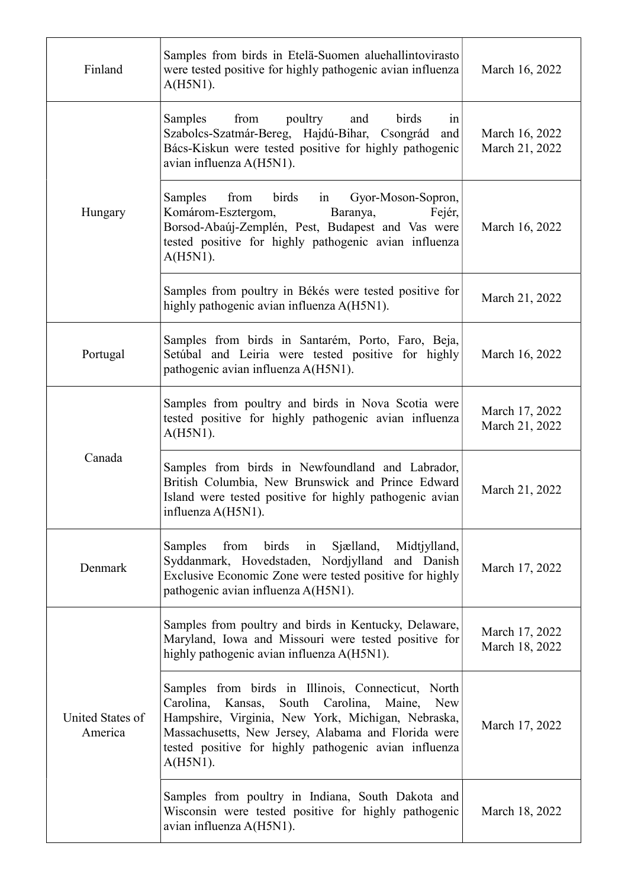| Finland                     | Samples from birds in Etelä-Suomen aluehallintovirasto<br>were tested positive for highly pathogenic avian influenza<br>$A(H5N1)$ .                                                                                                                                                                           | March 16, 2022                   |
|-----------------------------|---------------------------------------------------------------------------------------------------------------------------------------------------------------------------------------------------------------------------------------------------------------------------------------------------------------|----------------------------------|
|                             | from poultry<br>birds<br>Samples<br>and<br>in<br>Szabolcs-Szatmár-Bereg, Hajdú-Bihar, Csongrád<br>and<br>Bács-Kiskun were tested positive for highly pathogenic<br>avian influenza A(H5N1).                                                                                                                   | March 16, 2022<br>March 21, 2022 |
| Hungary                     | Samples<br>from<br>birds<br>Gyor-Moson-Sopron,<br>in<br>Komárom-Esztergom,<br>Baranya,<br>Fejér,<br>Borsod-Abaúj-Zemplén, Pest, Budapest and Vas were<br>tested positive for highly pathogenic avian influenza<br>$A(H5N1)$ .                                                                                 | March 16, 2022                   |
|                             | Samples from poultry in Békés were tested positive for<br>highly pathogenic avian influenza A(H5N1).                                                                                                                                                                                                          | March 21, 2022                   |
| Portugal                    | Samples from birds in Santarém, Porto, Faro, Beja,<br>Setúbal and Leiria were tested positive for highly<br>pathogenic avian influenza A(H5N1).                                                                                                                                                               | March 16, 2022                   |
|                             | Samples from poultry and birds in Nova Scotia were<br>tested positive for highly pathogenic avian influenza<br>$A(H5N1)$ .                                                                                                                                                                                    | March 17, 2022<br>March 21, 2022 |
| Canada                      | Samples from birds in Newfoundland and Labrador,<br>British Columbia, New Brunswick and Prince Edward<br>Island were tested positive for highly pathogenic avian<br>influenza A(H5N1).                                                                                                                        | March 21, 2022                   |
| Denmark                     | Sjælland,<br><b>Samples</b><br>from<br>birds<br>Midtjylland,<br>in<br>Syddanmark, Hovedstaden, Nordjylland and Danish<br>Exclusive Economic Zone were tested positive for highly<br>pathogenic avian influenza A(H5N1).                                                                                       | March 17, 2022                   |
|                             | Samples from poultry and birds in Kentucky, Delaware,<br>Maryland, Iowa and Missouri were tested positive for<br>highly pathogenic avian influenza A(H5N1).                                                                                                                                                   | March 17, 2022<br>March 18, 2022 |
| United States of<br>America | Samples from birds in Illinois, Connecticut, North<br>Carolina,<br>Carolina,<br>Kansas,<br>South<br>Maine,<br><b>New</b><br>Hampshire, Virginia, New York, Michigan, Nebraska,<br>Massachusetts, New Jersey, Alabama and Florida were<br>tested positive for highly pathogenic avian influenza<br>$A(H5N1)$ . | March 17, 2022                   |
|                             | Samples from poultry in Indiana, South Dakota and<br>Wisconsin were tested positive for highly pathogenic<br>avian influenza A(H5N1).                                                                                                                                                                         | March 18, 2022                   |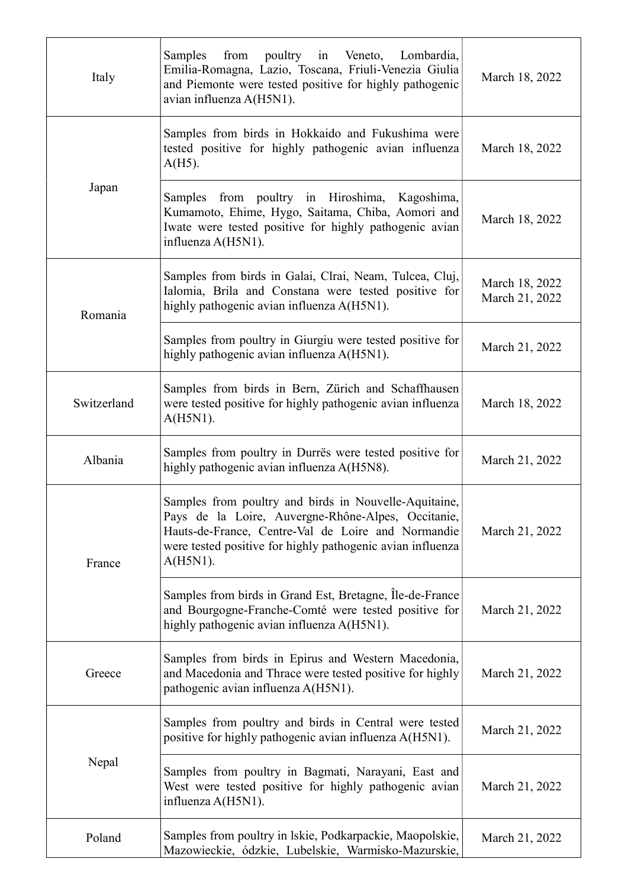| Italy       | from poultry in Veneto, Lombardia,<br>Samples<br>Emilia-Romagna, Lazio, Toscana, Friuli-Venezia Giulia<br>and Piemonte were tested positive for highly pathogenic<br>avian influenza A(H5N1).                                                  | March 18, 2022                   |
|-------------|------------------------------------------------------------------------------------------------------------------------------------------------------------------------------------------------------------------------------------------------|----------------------------------|
|             | Samples from birds in Hokkaido and Fukushima were<br>tested positive for highly pathogenic avian influenza<br>$A(H5)$ .                                                                                                                        | March 18, 2022                   |
| Japan       | Samples from poultry in Hiroshima, Kagoshima,<br>Kumamoto, Ehime, Hygo, Saitama, Chiba, Aomori and<br>Iwate were tested positive for highly pathogenic avian<br>influenza A(H5N1).                                                             | March 18, 2022                   |
| Romania     | Samples from birds in Galai, Clrai, Neam, Tulcea, Cluj,<br>Ialomia, Brila and Constana were tested positive for<br>highly pathogenic avian influenza A(H5N1).                                                                                  | March 18, 2022<br>March 21, 2022 |
|             | Samples from poultry in Giurgiu were tested positive for<br>highly pathogenic avian influenza A(H5N1).                                                                                                                                         | March 21, 2022                   |
| Switzerland | Samples from birds in Bern, Zürich and Schaffhausen<br>were tested positive for highly pathogenic avian influenza<br>$A(H5N1)$ .                                                                                                               | March 18, 2022                   |
| Albania     | Samples from poultry in Durrës were tested positive for<br>highly pathogenic avian influenza A(H5N8).                                                                                                                                          | March 21, 2022                   |
| France      | Samples from poultry and birds in Nouvelle-Aquitaine,<br>Pays de la Loire, Auvergne-Rhône-Alpes, Occitanie,<br>Hauts-de-France, Centre-Val de Loire and Normandie<br>were tested positive for highly pathogenic avian influenza<br>$A(H5N1)$ . | March 21, 2022                   |
|             | Samples from birds in Grand Est, Bretagne, Île-de-France<br>and Bourgogne-Franche-Comté were tested positive for<br>highly pathogenic avian influenza A(H5N1).                                                                                 | March 21, 2022                   |
| Greece      | Samples from birds in Epirus and Western Macedonia,<br>and Macedonia and Thrace were tested positive for highly<br>pathogenic avian influenza A(H5N1).                                                                                         | March 21, 2022                   |
|             | Samples from poultry and birds in Central were tested<br>positive for highly pathogenic avian influenza A(H5N1).                                                                                                                               | March 21, 2022                   |
| Nepal       | Samples from poultry in Bagmati, Narayani, East and<br>West were tested positive for highly pathogenic avian<br>influenza A(H5N1).                                                                                                             | March 21, 2022                   |
| Poland      | Samples from poultry in lskie, Podkarpackie, Maopolskie,<br>Mazowieckie, ódzkie, Lubelskie, Warmisko-Mazurskie,                                                                                                                                | March 21, 2022                   |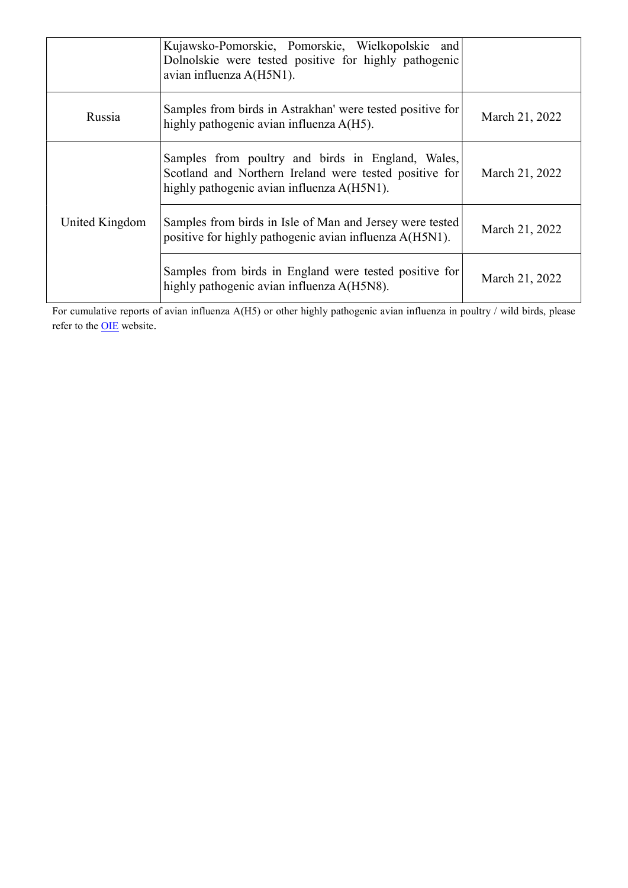|                | Kujawsko-Pomorskie, Pomorskie, Wielkopolskie and<br>Dolnolskie were tested positive for highly pathogenic<br>avian influenza A(H5N1).                     |                |
|----------------|-----------------------------------------------------------------------------------------------------------------------------------------------------------|----------------|
| Russia         | Samples from birds in Astrakhan' were tested positive for<br>highly pathogenic avian influenza A(H5).                                                     | March 21, 2022 |
|                | Samples from poultry and birds in England, Wales,<br>Scotland and Northern Ireland were tested positive for<br>highly pathogenic avian influenza A(H5N1). | March 21, 2022 |
| United Kingdom | Samples from birds in Isle of Man and Jersey were tested<br>positive for highly pathogenic avian influenza A(H5N1).                                       | March 21, 2022 |
|                | Samples from birds in England were tested positive for<br>highly pathogenic avian influenza A(H5N8).                                                      | March 21, 2022 |

For cumulative reports of avian influenza A(H5) or other highly pathogenic avian influenza in poultry / wild birds, please refer to the **OIE** website.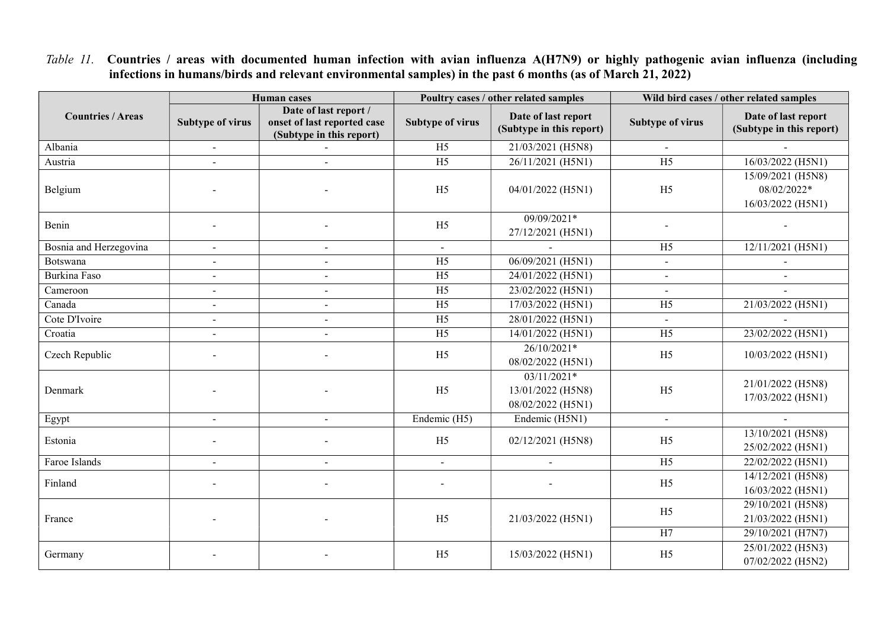Table 11. Countries / areas with documented human infection with avian influenza A(H7N9) or highly pathogenic avian influenza (including infections in humans/birds and relevant environmental samples) in the past 6 months (as of March 21, 2022)

|                          | <b>Human</b> cases      |                                                                                  | Poultry cases / other related samples |                                                         | Wild bird cases / other related samples |                                                       |
|--------------------------|-------------------------|----------------------------------------------------------------------------------|---------------------------------------|---------------------------------------------------------|-----------------------------------------|-------------------------------------------------------|
| <b>Countries / Areas</b> | <b>Subtype of virus</b> | Date of last report /<br>onset of last reported case<br>(Subtype in this report) | <b>Subtype of virus</b>               | Date of last report<br>(Subtype in this report)         | Subtype of virus                        | Date of last report<br>(Subtype in this report)       |
| Albania                  | $\sim$                  |                                                                                  | H <sub>5</sub>                        | 21/03/2021 (H5N8)                                       |                                         |                                                       |
| Austria                  | $\overline{a}$          | $\blacksquare$                                                                   | $\overline{H5}$                       | 26/11/2021 (H5N1)                                       | $\overline{H5}$                         | 16/03/2022 (H5N1)                                     |
| Belgium                  |                         |                                                                                  | H <sub>5</sub>                        | 04/01/2022 (H5N1)                                       | H <sub>5</sub>                          | 15/09/2021 (H5N8)<br>08/02/2022*<br>16/03/2022 (H5N1) |
| Benin                    |                         |                                                                                  | H <sub>5</sub>                        | 09/09/2021*<br>27/12/2021 (H5N1)                        |                                         |                                                       |
| Bosnia and Herzegovina   | $\sim$                  |                                                                                  | $\sim$                                | $\sim$                                                  | H <sub>5</sub>                          | $12/11/2021$ (H5N1)                                   |
| Botswana                 | $\blacksquare$          |                                                                                  | H <sub>5</sub>                        | 06/09/2021 (H5N1)                                       |                                         |                                                       |
| Burkina Faso             | $\blacksquare$          | $\overline{\phantom{a}}$                                                         | H <sub>5</sub>                        | 24/01/2022 (H5N1)                                       |                                         | $\mathbf{r}$                                          |
| Cameroon                 | $\sim$                  |                                                                                  | H <sub>5</sub>                        | 23/02/2022 (H5N1)                                       |                                         |                                                       |
| Canada                   | $\overline{a}$          | $\sim$                                                                           | H <sub>5</sub>                        | 17/03/2022 (H5N1)                                       | H <sub>5</sub>                          | 21/03/2022 (H5N1)                                     |
| Cote D'Ivoire            | $\overline{a}$          | $\overline{a}$                                                                   | H <sub>5</sub>                        | 28/01/2022 (H5N1)                                       |                                         |                                                       |
| Croatia                  | $\blacksquare$          | $\overline{\phantom{a}}$                                                         | H <sub>5</sub>                        | 14/01/2022 (H5N1)                                       | $\overline{H5}$                         | 23/02/2022 (H5N1)                                     |
| Czech Republic           |                         |                                                                                  | H <sub>5</sub>                        | 26/10/2021*<br>08/02/2022 (H5N1)                        | H <sub>5</sub>                          | 10/03/2022 (H5N1)                                     |
| Denmark                  |                         |                                                                                  | H <sub>5</sub>                        | $03/11/2021*$<br>13/01/2022 (H5N8)<br>08/02/2022 (H5N1) | H <sub>5</sub>                          | 21/01/2022 (H5N8)<br>17/03/2022 (H5N1)                |
| Egypt                    | $\overline{a}$          | $\overline{\phantom{a}}$                                                         | Endemic (H5)                          | Endemic (H5N1)                                          | $\blacksquare$                          |                                                       |
| Estonia                  |                         |                                                                                  | H <sub>5</sub>                        | 02/12/2021 (H5N8)                                       | H <sub>5</sub>                          | 13/10/2021 (H5N8)<br>25/02/2022 (H5N1)                |
| Faroe Islands            | $\overline{a}$          | $\overline{a}$                                                                   | $\mathbf{r}$                          | $\sim$                                                  | H <sub>5</sub>                          | 22/02/2022 (H5N1)                                     |
| Finland                  |                         |                                                                                  |                                       |                                                         | H <sub>5</sub>                          | 14/12/2021 (H5N8)<br>16/03/2022 (H5N1)                |
| France                   |                         |                                                                                  | H <sub>5</sub>                        | 21/03/2022 (H5N1)                                       | H <sub>5</sub>                          | 29/10/2021 (H5N8)<br>21/03/2022 (H5N1)                |
|                          |                         |                                                                                  |                                       |                                                         | H7                                      | 29/10/2021 (H7N7)                                     |
| Germany                  |                         |                                                                                  | H <sub>5</sub>                        | 15/03/2022 (H5N1)                                       | H <sub>5</sub>                          | 25/01/2022 (H5N3)<br>07/02/2022 (H5N2)                |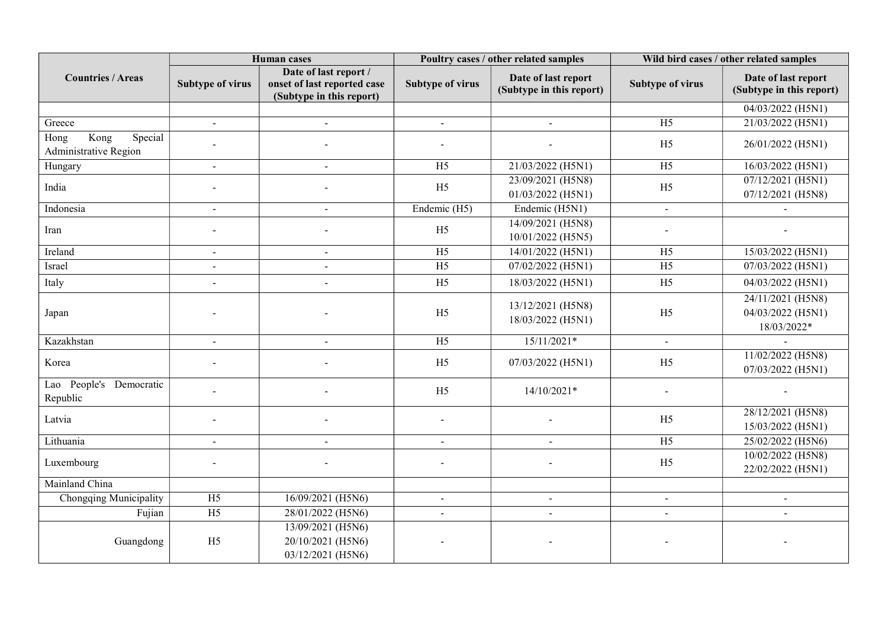|                                                  | <b>Human</b> cases      |                                                                                  | Poultry cases / other related samples |                                                 | Wild bird cases / other related samples |                                                       |
|--------------------------------------------------|-------------------------|----------------------------------------------------------------------------------|---------------------------------------|-------------------------------------------------|-----------------------------------------|-------------------------------------------------------|
| <b>Countries / Areas</b>                         | <b>Subtype of virus</b> | Date of last report /<br>onset of last reported case<br>(Subtype in this report) | <b>Subtype of virus</b>               | Date of last report<br>(Subtype in this report) | <b>Subtype of virus</b>                 | Date of last report<br>(Subtype in this report)       |
|                                                  |                         |                                                                                  |                                       |                                                 |                                         | 04/03/2022 (H5N1)                                     |
| Greece                                           | $\blacksquare$          | $\blacksquare$                                                                   | $\blacksquare$                        | $\blacksquare$                                  | H <sub>5</sub>                          | 21/03/2022 (H5N1)                                     |
| Kong<br>Special<br>Hong<br>Administrative Region |                         |                                                                                  |                                       |                                                 | H <sub>5</sub>                          | 26/01/2022 (H5N1)                                     |
| Hungary                                          | $\blacksquare$          |                                                                                  | $\overline{H5}$                       | 21/03/2022 (H5N1)                               | H <sub>5</sub>                          | 16/03/2022 (H5N1)                                     |
| India                                            |                         |                                                                                  | H <sub>5</sub>                        | 23/09/2021 (H5N8)<br>01/03/2022 (H5N1)          | H <sub>5</sub>                          | 07/12/2021 (H5N1)<br>07/12/2021 (H5N8)                |
| Indonesia                                        | $\blacksquare$          | $\blacksquare$                                                                   | Endemic (H5)                          | Endemic (H5N1)                                  | $\blacksquare$                          |                                                       |
| Iran                                             |                         |                                                                                  | H <sub>5</sub>                        | 14/09/2021 (H5N8)<br>10/01/2022 (H5N5)          |                                         |                                                       |
| Ireland                                          | $\blacksquare$          | $\blacksquare$                                                                   | H <sub>5</sub>                        | 14/01/2022 (H5N1)                               | H <sub>5</sub>                          | 15/03/2022 (H5N1)                                     |
| Israel                                           | $\blacksquare$          |                                                                                  | H <sub>5</sub>                        | 07/02/2022 (H5N1)                               | H <sub>5</sub>                          | 07/03/2022 (H5N1)                                     |
| Italy                                            | $\overline{a}$          |                                                                                  | H <sub>5</sub>                        | 18/03/2022 (H5N1)                               | H <sub>5</sub>                          | 04/03/2022 (H5N1)                                     |
| Japan                                            |                         |                                                                                  | H <sub>5</sub>                        | 13/12/2021 (H5N8)<br>18/03/2022 (H5N1)          | H <sub>5</sub>                          | 24/11/2021 (H5N8)<br>04/03/2022 (H5N1)<br>18/03/2022* |
| Kazakhstan                                       | $\blacksquare$          | $\blacksquare$                                                                   | H <sub>5</sub>                        | 15/11/2021*                                     | $\blacksquare$                          |                                                       |
| Korea                                            |                         |                                                                                  | H <sub>5</sub>                        | 07/03/2022 (H5N1)                               | H <sub>5</sub>                          | 11/02/2022 (H5N8)<br>07/03/2022 (H5N1)                |
| Lao People's Democratic<br>Republic              |                         |                                                                                  | H <sub>5</sub>                        | 14/10/2021*                                     |                                         |                                                       |
| Latvia                                           |                         |                                                                                  |                                       |                                                 | H <sub>5</sub>                          | 28/12/2021 (H5N8)<br>15/03/2022 (H5N1)                |
| Lithuania                                        | $\blacksquare$          | $\blacksquare$                                                                   |                                       | $\overline{a}$                                  | H <sub>5</sub>                          | 25/02/2022 (H5N6)                                     |
| Luxembourg                                       |                         |                                                                                  |                                       |                                                 | H <sub>5</sub>                          | 10/02/2022 (H5N8)<br>22/02/2022 (H5N1)                |
| Mainland China                                   |                         |                                                                                  |                                       |                                                 |                                         |                                                       |
| Chongqing Municipality                           | H <sub>5</sub>          | 16/09/2021 (H5N6)                                                                |                                       |                                                 |                                         |                                                       |
| Fujian                                           | H <sub>5</sub>          | 28/01/2022 (H5N6)                                                                |                                       |                                                 | $\blacksquare$                          |                                                       |
| Guangdong                                        | H <sub>5</sub>          | 13/09/2021 (H5N6)<br>20/10/2021 (H5N6)<br>03/12/2021 (H5N6)                      |                                       |                                                 |                                         |                                                       |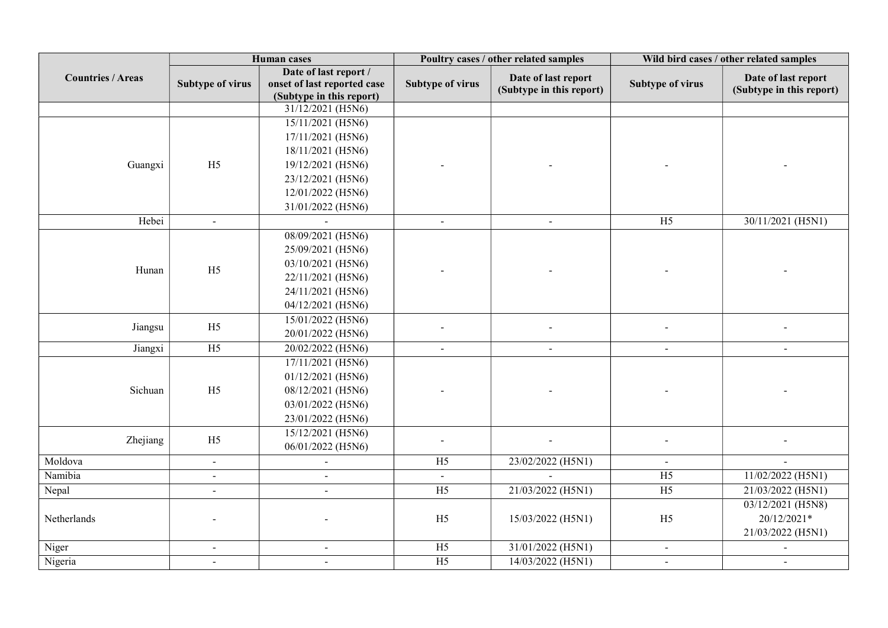|                          | <b>Human</b> cases      |                             | Poultry cases / other related samples |                          | Wild bird cases / other related samples |                          |
|--------------------------|-------------------------|-----------------------------|---------------------------------------|--------------------------|-----------------------------------------|--------------------------|
| <b>Countries / Areas</b> | Date of last report /   |                             | Date of last report                   |                          | Date of last report                     |                          |
|                          | <b>Subtype of virus</b> | onset of last reported case | <b>Subtype of virus</b>               | (Subtype in this report) | <b>Subtype of virus</b>                 | (Subtype in this report) |
|                          |                         | (Subtype in this report)    |                                       |                          |                                         |                          |
|                          |                         | 31/12/2021 (H5N6)           |                                       |                          |                                         |                          |
|                          |                         | 15/11/2021 (H5N6)           |                                       |                          |                                         |                          |
|                          |                         | 17/11/2021 (H5N6)           |                                       |                          |                                         |                          |
|                          |                         | 18/11/2021 (H5N6)           |                                       |                          |                                         |                          |
| Guangxi                  | H <sub>5</sub>          | 19/12/2021 (H5N6)           |                                       |                          |                                         |                          |
|                          |                         | 23/12/2021 (H5N6)           |                                       |                          |                                         |                          |
|                          |                         | 12/01/2022 (H5N6)           |                                       |                          |                                         |                          |
|                          |                         | 31/01/2022 (H5N6)           |                                       |                          |                                         |                          |
| Hebei                    | $\omega$                |                             | $\blacksquare$                        | $\omega$                 | H <sub>5</sub>                          | 30/11/2021 (H5N1)        |
|                          |                         | 08/09/2021 (H5N6)           |                                       |                          |                                         |                          |
|                          |                         | 25/09/2021 (H5N6)           |                                       |                          |                                         |                          |
|                          |                         | 03/10/2021 (H5N6)           |                                       |                          |                                         |                          |
| Hunan                    | H <sub>5</sub>          | 22/11/2021 (H5N6)           |                                       |                          |                                         |                          |
|                          |                         | 24/11/2021 (H5N6)           |                                       |                          |                                         |                          |
|                          |                         | 04/12/2021 (H5N6)           |                                       |                          |                                         |                          |
|                          |                         | 15/01/2022 (H5N6)           |                                       |                          |                                         |                          |
| Jiangsu                  | H <sub>5</sub>          | 20/01/2022 (H5N6)           |                                       |                          |                                         |                          |
| Jiangxi                  | $\overline{H5}$         | 20/02/2022 (H5N6)           | $\overline{a}$                        |                          | $\overline{a}$                          |                          |
|                          |                         | 17/11/2021 (H5N6)           |                                       |                          |                                         |                          |
|                          |                         | 01/12/2021 (H5N6)           |                                       |                          |                                         |                          |
| Sichuan                  | H <sub>5</sub>          | 08/12/2021 (H5N6)           |                                       |                          |                                         |                          |
|                          |                         | 03/01/2022 (H5N6)           |                                       |                          |                                         |                          |
|                          |                         | 23/01/2022 (H5N6)           |                                       |                          |                                         |                          |
|                          |                         | 15/12/2021 (H5N6)           |                                       |                          |                                         |                          |
| Zhejiang                 | H <sub>5</sub>          | 06/01/2022 (H5N6)           |                                       |                          |                                         |                          |
| Moldova                  | $\blacksquare$          | $\blacksquare$              | H <sub>5</sub>                        | 23/02/2022 (H5N1)        | $\blacksquare$                          |                          |
| Namibia                  | $\sim$                  | $\blacksquare$              | $\sim$                                |                          | H <sub>5</sub>                          | 11/02/2022 (H5N1)        |
| Nepal                    | $\blacksquare$          | $\blacksquare$              | $\overline{H5}$                       | 21/03/2022 (H5N1)        | $\overline{H5}$                         | 21/03/2022 (H5N1)        |
|                          |                         |                             |                                       |                          |                                         | 03/12/2021 (H5N8)        |
| Netherlands              |                         |                             | H <sub>5</sub>                        | 15/03/2022 (H5N1)        | H <sub>5</sub>                          | 20/12/2021*              |
|                          |                         |                             |                                       |                          |                                         | 21/03/2022 (H5N1)        |
| Niger                    | $\sim$                  | $\blacksquare$              | $\overline{H5}$                       | 31/01/2022 (H5N1)        | $\sim$                                  |                          |
| Nigeria                  | $\blacksquare$          | $\blacksquare$              | H <sub>5</sub>                        | 14/03/2022 (H5N1)        | $\blacksquare$                          | ÷.                       |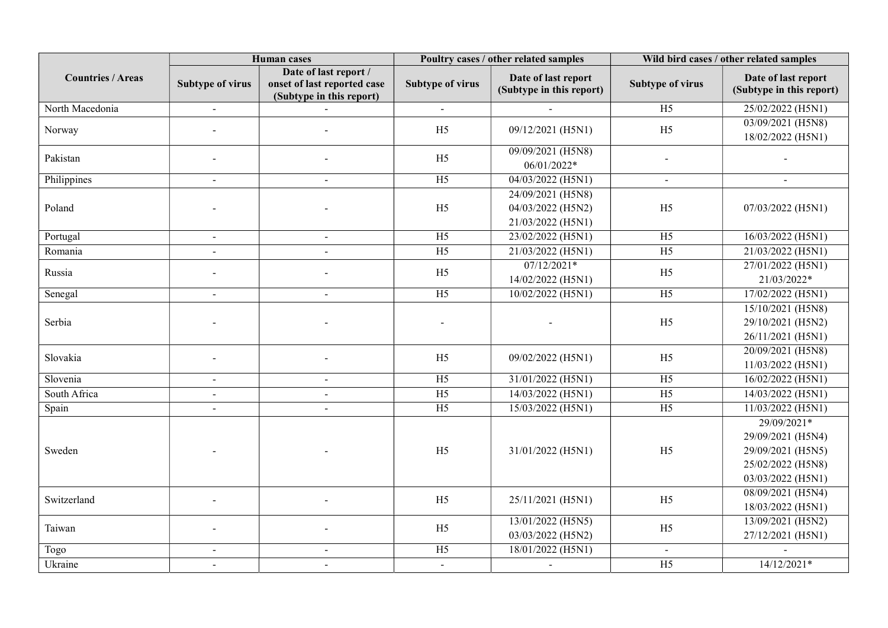|                          | <b>Human</b> cases |                                                                                  | Poultry cases / other related samples |                                                             | Wild bird cases / other related samples |                                                                                                 |
|--------------------------|--------------------|----------------------------------------------------------------------------------|---------------------------------------|-------------------------------------------------------------|-----------------------------------------|-------------------------------------------------------------------------------------------------|
| <b>Countries / Areas</b> | Subtype of virus   | Date of last report /<br>onset of last reported case<br>(Subtype in this report) | <b>Subtype of virus</b>               | Date of last report<br>(Subtype in this report)             | Subtype of virus                        | Date of last report<br>(Subtype in this report)                                                 |
| North Macedonia          | $\sim$             | $\sim$                                                                           | $\blacksquare$                        | $\sim$                                                      | H <sub>5</sub>                          | 25/02/2022 (H5N1)                                                                               |
| Norway                   |                    | $\blacksquare$                                                                   | H <sub>5</sub>                        | 09/12/2021 (H5N1)                                           | H <sub>5</sub>                          | 03/09/2021 (H5N8)<br>18/02/2022 (H5N1)                                                          |
| Pakistan                 |                    |                                                                                  | H <sub>5</sub>                        | 09/09/2021 (H5N8)<br>06/01/2022*                            |                                         |                                                                                                 |
| Philippines              | $\sim$             | $\sim$                                                                           | H <sub>5</sub>                        | 04/03/2022 (H5N1)                                           | $\blacksquare$                          | $\blacksquare$                                                                                  |
| Poland                   |                    |                                                                                  | H <sub>5</sub>                        | 24/09/2021 (H5N8)<br>04/03/2022 (H5N2)<br>21/03/2022 (H5N1) | H <sub>5</sub>                          | 07/03/2022 (H5N1)                                                                               |
| Portugal                 | $\sim$             | $\sim$                                                                           | H <sub>5</sub>                        | 23/02/2022 (H5N1)                                           | H <sub>5</sub>                          | 16/03/2022 (H5N1)                                                                               |
| Romania                  |                    |                                                                                  | H <sub>5</sub>                        | 21/03/2022 (H5N1)                                           | H <sub>5</sub>                          | 21/03/2022 (H5N1)                                                                               |
| Russia                   |                    |                                                                                  | H <sub>5</sub>                        | $07/12/2021*$<br>14/02/2022 (H5N1)                          | H <sub>5</sub>                          | 27/01/2022 (H5N1)<br>$21/03/2022*$                                                              |
| Senegal                  | $\sim$             | $\sim$                                                                           | H <sub>5</sub>                        | 10/02/2022 (H5N1)                                           | H <sub>5</sub>                          | 17/02/2022 (H5N1)                                                                               |
| Serbia                   |                    |                                                                                  |                                       |                                                             | H <sub>5</sub>                          | 15/10/2021 (H5N8)<br>29/10/2021 (H5N2)<br>26/11/2021 (H5N1)                                     |
| Slovakia                 |                    |                                                                                  | H <sub>5</sub>                        | 09/02/2022 (H5N1)                                           | H <sub>5</sub>                          | 20/09/2021 (H5N8)<br>11/03/2022 (H5N1)                                                          |
| Slovenia                 | $\sim$             | $\sim$                                                                           | $\overline{H5}$                       | 31/01/2022 (H5N1)                                           | H <sub>5</sub>                          | 16/02/2022 (H5N1)                                                                               |
| South Africa             | $\sim$             | $\sim$                                                                           | $\overline{H5}$                       | 14/03/2022 (H5N1)                                           | H <sub>5</sub>                          | 14/03/2022 (H5N1)                                                                               |
| Spain                    | $\sim$             | $\sim$                                                                           | H <sub>5</sub>                        | 15/03/2022 (H5N1)                                           | H <sub>5</sub>                          | 11/03/2022 (H5N1)                                                                               |
| Sweden                   |                    |                                                                                  | H <sub>5</sub>                        | 31/01/2022 (H5N1)                                           | H <sub>5</sub>                          | 29/09/2021*<br>29/09/2021 (H5N4)<br>29/09/2021 (H5N5)<br>25/02/2022 (H5N8)<br>03/03/2022 (H5N1) |
| Switzerland              |                    |                                                                                  | H <sub>5</sub>                        | 25/11/2021 (H5N1)                                           | H <sub>5</sub>                          | 08/09/2021 (H5N4)<br>18/03/2022 (H5N1)                                                          |
| Taiwan                   |                    |                                                                                  | H <sub>5</sub>                        | 13/01/2022 (H5N5)<br>03/03/2022 (H5N2)                      | H <sub>5</sub>                          | 13/09/2021 (H5N2)<br>27/12/2021 (H5N1)                                                          |
| Togo                     | $\blacksquare$     | $\blacksquare$                                                                   | H <sub>5</sub>                        | 18/01/2022 (H5N1)                                           | $\blacksquare$                          |                                                                                                 |
| Ukraine                  | $\sim$             | $\blacksquare$                                                                   | $\blacksquare$                        | $\blacksquare$                                              | H <sub>5</sub>                          | 14/12/2021*                                                                                     |